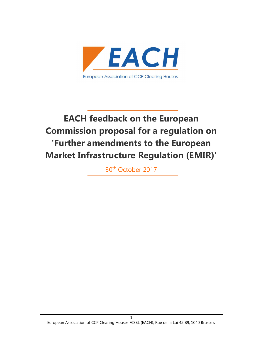

# EACH feedback on the European Commission proposal for a regulation on 'Further amendments to the European Market Infrastructure Regulation (EMIR)'

30th October 2017

1 European Association of CCP Clearing Houses AISBL (EACH), Rue de la Loi 42 B9, 1040 Brussels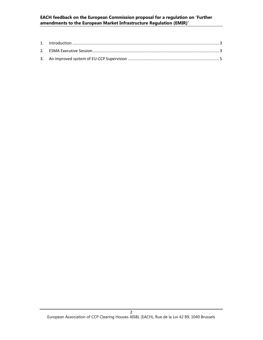#### EACH feedback on the European Commission proposal for a regulation on 'Further amendments to the European Market Infrastructure Regulation (EMIR)'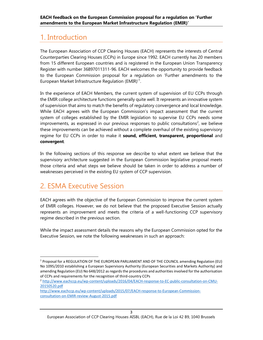### 1. Introduction

The European Association of CCP Clearing Houses (EACH) represents the interests of Central Counterparties Clearing Houses (CCPs) in Europe since 1992. EACH currently has 20 members from 15 different European countries and is registered in the European Union Transparency Register with number 36897011311-96. EACH welcomes the opportunity to provide feedback to the European Commission proposal for a regulation on 'Further amendments to the European Market Infrastructure Regulation (EMIR)<sup>'1</sup>.

In the experience of EACH Members, the current system of supervision of EU CCPs through the EMIR college architecture functions generally quite well. It represents an innovative system of supervision that aims to match the benefits of regulatory convergence and local knowledge. While EACH agrees with the European Commission's impact assessment that the current system of colleges established by the EMIR legislation to supervise EU CCPs needs some improvements, as expressed in our previous responses to public consultations<sup>2</sup>, we believe these improvements can be achieved without a complete overhaul of the existing supervisory regime for EU CCPs in order to make it sound, efficient, transparent, proportional and convergent.

In the following sections of this response we describe to what extent we believe that the supervisory architecture suggested in the European Commission legislative proposal meets those criteria and what steps we believe should be taken in order to address a number of weaknesses perceived in the existing EU system of CCP supervision.

### 2. ESMA Executive Session

1

EACH agrees with the objective of the European Commission to improve the current system of EMIR colleges. However, we do not believe that the proposed Executive Session actually represents an improvement and meets the criteria of a well-functioning CCP supervisory regime described in the previous section.

While the impact assessment details the reasons why the European Commission opted for the Executive Session, we note the following weaknesses in such an approach:

<sup>&</sup>lt;sup>1</sup> Proposal for a REGULATION OF THE EUROPEAN PARLIAMENT AND OF THE COUNCIL amending Regulation (EU) No 1095/2010 establishing a European Supervisory Authority (European Securities and Markets Authority) and amending Regulation (EU) No 648/2012 as regards the procedures and authorities involved for the authorisation of CCPs and requirements for the recognition of third-country CCPs

<sup>2</sup> http://www.eachccp.eu/wp-content/uploads/2016/04/EACH-response-to-EC-public-consultation-on-CMU-20150520.pdf

http://www.eachccp.eu/wp-content/uploads/2015/07/EACH-response-to-European-Commissionconsultation-on-EMIR-review-August-2015.pdf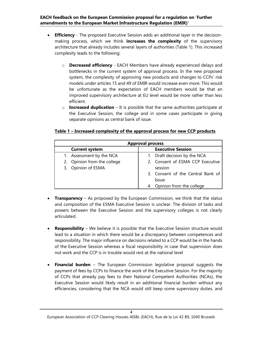- **Efficiency** The proposed Executive Session adds an additional layer in the decisionmaking process, which we think **increases the complexity** of the supervisory architecture that already includes several layers of authorities (Table 1). This increased complexity leads to the following:
	- o Decreased efficiency EACH Members have already experienced delays and bottlenecks in the current system of approval process. In the new proposed system, the complexity of approving new products and changes to CCPs' risk models under articles 15 and 49 of EMIR would increase even more. This would be unfortunate as the expectation of EACH members would be that an improved supervisory architecture at EU level would be more rather than less efficient.
	- $\circ$  Increased duplication It is possible that the same authorities participate at the Executive Session, the college and in some cases participate in giving separate opinions as central bank of issue.

#### Table 1 – Increased complexity of the approval process for new CCP products

| <b>Approval process</b> |                             |  |                                   |  |
|-------------------------|-----------------------------|--|-----------------------------------|--|
|                         | <b>Current system</b>       |  | <b>Executive Session</b>          |  |
|                         | 1. Assessment by the NCA    |  | 1. Draft decision by the NCA      |  |
|                         | 2. Opinion from the college |  | 2. Consent of ESMA CCP Executive  |  |
|                         | 3. Opinion of ESMA          |  | session                           |  |
|                         |                             |  | 3. Consent of the Central Bank of |  |
|                         |                             |  | Issue                             |  |
|                         |                             |  | 4. Opinion from the college       |  |

- **Transparency** As proposed by the European Commission, we think that the status and composition of the ESMA Executive Session is unclear. The division of tasks and powers between the Executive Session and the supervisory colleges is not clearly articulated.
- Responsibility We believe it is possible that the Executive Session structure would lead to a situation in which there would be a discrepancy between competences and responsibility. The major influence on decisions related to a CCP would be in the hands of the Executive Session whereas a fiscal responsibility in case that supervision does not work and the CCP is in trouble would rest at the national level
- Financial burden The European Commission legislative proposal suggests the payment of fees by CCPs to finance the work of the Executive Session. For the majority of CCPs that already pay fees to their National Competent Authorities (NCAs), the Executive Session would likely result in an additional financial burden without any efficiencies, considering that the NCA would still keep some supervisory duties, and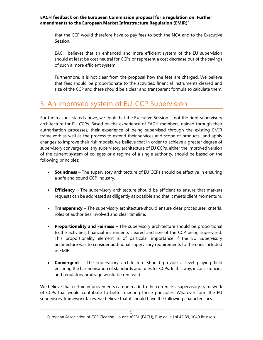that the CCP would therefore have to pay fees to both the NCA and to the Executive Session.

EACH believes that an enhanced and more efficient system of the EU supervision should at least be cost neutral for CCPs or represent a cost decrease out of the savings of such a more efficient system.

Furthermore, it is not clear from the proposal how the fees are charged. We believe that fees should be proportionate to the activities, financial instruments cleared and size of the CCP and there should be a clear and transparent formula to calculate them.

## 3. An improved system of EU-CCP Supervision

For the reasons stated above, we think that the Executive Session is not the right supervisory architecture for EU CCPs. Based on the experience of EACH members, gained through their authorisation processes, their experience of being supervised through the existing EMIR framework as well as the process to extend their services and scope of products and apply changes to improve their risk models, we believe that in order to achieve a greater degree of supervisory convergence, any supervisory architecture of EU CCPs, either the improved version of the current system of colleges or a regime of a single authority, should be based on the following principles:

- Soundness The supervisory architecture of EU CCPs should be effective in ensuring a safe and sound CCP industry.
- Efficiency The supervisory architecture should be efficient to ensure that markets requests can be addressed as diligently as possible and that it meets client momentum.
- Transparency The supervisory architecture should ensure clear procedures, criteria, roles of authorities involved and clear timeline.
- Proportionality and Fairness The supervisory architecture should be proportional to the activities, financial instruments cleared and size of the CCP being supervised. This proportionality element is of particular importance if the EU Supervisory architecture was to consider additional supervisory requirements to the ones included in EMIR.
- Convergent The supervisory architecture should provide a level playing field ensuring the harmonisation of standards and rules for CCPs. In this way, inconsistencies and regulatory arbitrage would be removed.

We believe that certain improvements can be made to the current EU supervisory framework of CCPs that would contribute to better meeting those principles. Whatever form the EU supervisory framework takes, we believe that it should have the following characteristics: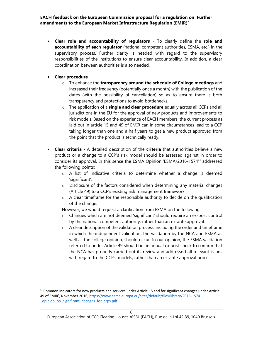- Clear role and accountability of regulators To clearly define the role and accountability of each regulator (national competent authorities, ESMA, etc.) in the supervisory process. Further clarity is needed with regard to the supervisory responsibilities of the institutions to ensure clear accountability. In addition, a clear coordination between authorities is also needed.
- Clear procedure

1

- o To enhance the transparency around the schedule of College meetings and increased their frequency (potentially once a month) with the publication of the dates (with the possibility of cancellation) so as to ensure there is both transparency and protections to avoid bottlenecks.
- o The application of a single and clear procedure equally across all CCPs and all jurisdictions in the EU for the approval of new products and improvements to risk models. Based on the experience of EACH members, the current process as laid out in article 15 and 49 of EMIR can in some circumstances lead to a CCP taking longer than one and a half years to get a new product approved from the point that the product is technically ready.
- Clear criteria A detailed description of the criteria that authorities believe a new product or a change to a CCP's risk model should be assessed against in order to consider its approval. In this sense the ESMA Opinion 'ESMA/2016/1574'<sup>3</sup> addressed the following points:
	- o A list of indicative criteria to determine whether a change is deemed 'significant'.
	- $\circ$  Disclosure of the factors considered when determining any material changes (Article 49) to a CCP's existing risk management framework
	- $\circ$  A clear timeframe for the responsible authority to decide on the qualification of the change.

However, we would request a clarification from ESMA on the following:

- o Changes which are not deemed 'significant' should require an ex-post control by the national competent authority, rather than an ex-ante approval.
- o A clear description of the validation process, including the order and timeframe in which the independent validation, the validation by the NCA and ESMA as well as the college opinion, should occur. In our opinion, the ESMA validation referred to under Article 49 should be an annual ex post check to confirm that the NCA has properly carried out its review and addressed all relevant issues with regard to the CCPs' models, rather than an ex-ante approval process.

<sup>&</sup>lt;sup>3</sup> 'Common indicators for new products and services under Article 15 and for significant changes under Article 49 of EMIR', November 2016, https://www.esma.europa.eu/sites/default/files/library/2016-1574 -\_opinion\_on\_significant\_changes\_for\_ccps.pdf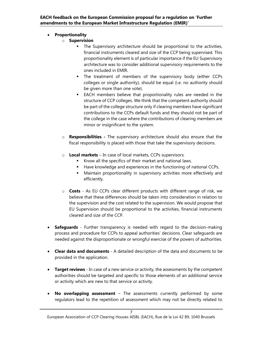### • Proportionality

- o Supervision
	- **The Supervisory architecture should be proportional to the activities,** financial instruments cleared and size of the CCP being supervised. This proportionality element is of particular importance if the EU Supervisory architecture was to consider additional supervisory requirements to the ones included in EMIR.
	- **The treatment of members of the supervisory body (either CCPs** colleges or single authority), should be equal (i.e. no authority should be given more than one vote).
	- EACH members believe that proportionality rules are needed in the structure of CCP colleges. We think that the competent authority should be part of the college structure only if clearing members have significant contributions to the CCPs default funds and they should not be part of the college in the case where the contributions of clearing members are minor or insignificant to the system.
- o Responsibilities The supervisory architecture should also ensure that the fiscal responsibility is placed with those that take the supervisory decisions.
- $\circ$  Local markets In case of local markets, CCPs supervisors:
	- Know all the specifics of their market and national laws.
	- Have knowledge and experiences in the functioning of national CCPs.
	- **•** Maintain proportionality in supervisory activities more effectively and efficiently.
- o Costs As EU CCPs clear different products with different range of risk, we believe that these differences should be taken into consideration in relation to the supervision and the cost related to the supervision. We would propose that EU Supervision should be proportional to the activities, financial instruments cleared and size of the CCP.
- Safequards Further transparency is needed with regard to the decision-making process and procedure for CCPs to appeal authorities' decisions. Clear safeguards are needed against the disproportionate or wrongful exercise of the powers of authorities.
- Clear data and documents A detailed description of the data and documents to be provided in the application.
- Target reviews In case of a new service or activity, the assessments by the competent authorities should be targeted and specific to those elements of an additional service or activity which are new to that service or activity.
- No overlapping assessment The assessments currently performed by some regulators lead to the repetition of assessment which may not be directly related to